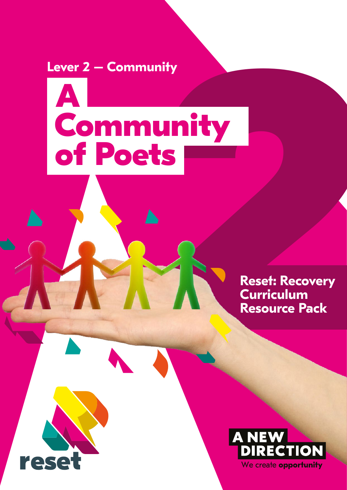**Lever 2 – Community**

reset

# nity<br> **22 Million**<br>
22 Reset: Recovery<br>
Curriculum<br>
Resource Pack **A Community of Poets**

**Reset: Recovery Curriculum Resource Pack** 

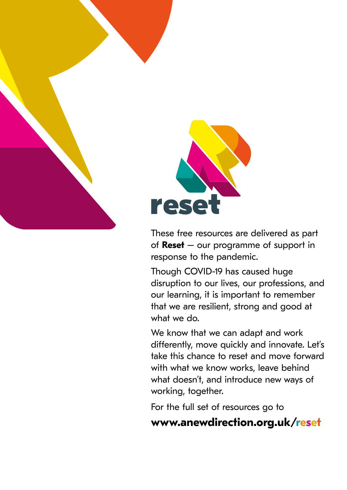

rese

These free resources are delivered as part of **Reset** – our programme of support in response to the pandemic.

Though COVID-19 has caused huge disruption to our lives, our professions, and our learning, it is important to remember that we are resilient, strong and good at what we do.

We know that we can adapt and work differently, move quickly and innovate. Let's take this chance to reset and move forward with what we know works, leave behind what doesn't, and introduce new ways of working, together.

For the full set of resources go to

## **<www.anewdirection.org.uk/reset>**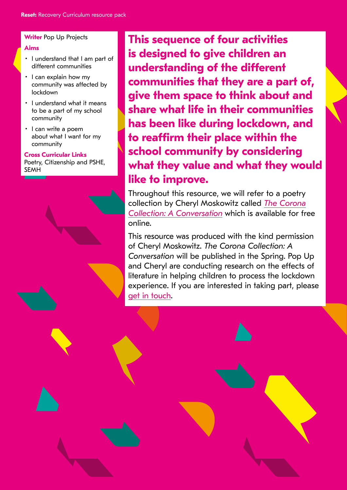#### **Writer** Pop Up Projects

#### **Aims**

- I understand that I am part of different communities
- I can explain how my community was affected by lockdown
- I understand what it means to be a part of my school community
- I can write a poem about what I want for my community

#### **Cross Curricular Links**

Poetry, Citizenship and PSHE, SEMH



**This sequence of four activities is designed to give children an understanding of the different communities that they are a part of, give them space to think about and share what life in their communities has been like during lockdown, and to reaffirm their place within the school community by considering what they value and what they would like to improve.** 

Throughout this resource, we will refer to a poetry [collection by Cheryl Moskowitz called](https://www.pop-up-hub.com/book/the-corona-collection-a-conversation/) *The Corona Collection: A Conversation* which is available for free online.

This resource was produced with the kind permission of Cheryl Moskowitz. *The Corona Collection: A Conversation* will be published in the Spring. Pop Up and Cheryl are conducting research on the effects of literature in helping children to process the lockdown experience. If you are interested in taking part, please [get in touch](mailto:info@pop-up.org.uk).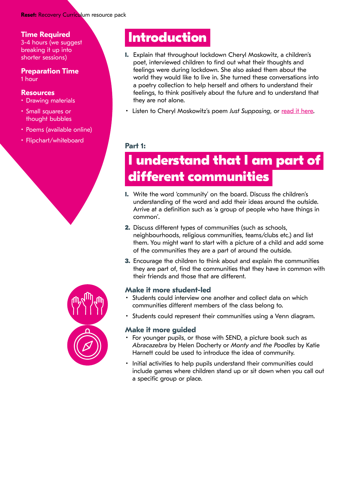#### **Reset:** Recovery Curriculum resource pack

#### **Time Required**

3-4 hours (we suggest breaking it up into shorter sessions)

#### **Preparation Time** 1 hour

#### **Resources**

- Drawing materials
- Small squares or thought bubbles
- Poems (available online)
- Flipchart/whiteboard



## **Introduction**

- **1.** Explain that throughout lockdown Cheryl Moskowitz, a children's poet, interviewed children to find out what their thoughts and feelings were during lockdown. She also asked them about the world they would like to live in. She turned these conversations into a poetry collection to help herself and others to understand their feelings, to think positively about the future and to understand that they are not alone.
- Listen to Cheryl Moskowitz's poem *Just Supposing*, or [read it here](https://www.coronacollectionpoetry.com/thecollection/).

#### **Part 1:**

## **I understand that I am part of different communities**

- **1.** Write the word 'community' on the board. Discuss the children's understanding of the word and add their ideas around the outside. Arrive at a definition such as 'a group of people who have things in common'.
- **2.** Discuss different types of communities (such as schools, neighbourhoods, religious communities, teams/clubs etc.) and list them. You might want to start with a picture of a child and add some of the communities they are a part of around the outside.
- **3.** Encourage the children to think about and explain the communities they are part of, find the communities that they have in common with their friends and those that are different.

#### **Make it more student-led**

- Students could interview one another and collect data on which communities different members of the class belong to.
- Students could represent their communities using a Venn diagram.

#### **Make it more guided**

- For younger pupils, or those with SEND, a picture book such as *Abracazebra* by Helen Docherty or *Monty and the Poodles* by Katie Harnett could be used to introduce the idea of community.
- Initial activities to help pupils understand their communities could include games where children stand up or sit down when you call out a specific group or place.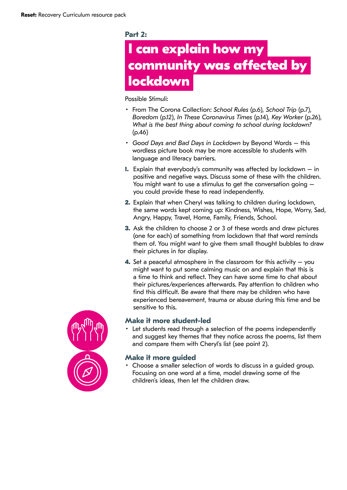#### **Part 2:**

## **I can explain how my community was affected by lockdown**

Possible Stimuli:

- From The Corona Collection: *School Rules* (p.6), *School Trip* (p.7), *Boredom* (p.12), *In These Coronavirus Times* (p.14), *Key Worker* (p.26), *What is the best thing about coming to school during lockdown?*  (p.46)
- *Good Days and Bad Days in Lockdown* by Beyond Words this wordless picture book may be more accessible to students with language and literacy barriers.
- **1.** Explain that everybody's community was affected by lockdown in positive and negative ways. Discuss some of these with the children. You might want to use a stimulus to get the conversation going – you could provide these to read independently.
- **2.** Explain that when Cheryl was talking to children during lockdown, the same words kept coming up: Kindness, Wishes, Hope, Worry, Sad, Angry, Happy, Travel, Home, Family, Friends, School.
- **3.** Ask the children to choose 2 or 3 of these words and draw pictures (one for each) of something from lockdown that that word reminds them of. You might want to give them small thought bubbles to draw their pictures in for display.
- **4.** Set a peaceful atmosphere in the classroom for this activity you might want to put some calming music on and explain that this is a time to think and reflect. They can have some time to chat about their pictures/experiences afterwards. Pay attention to children who find this difficult. Be aware that there may be children who have experienced bereavement, trauma or abuse during this time and be sensitive to this.



#### **Make it more student-led**

• Let students read through a selection of the poems independently and suggest key themes that they notice across the poems, list them and compare them with Cheryl's list (see point 2).

#### **Make it more guided**

• Choose a smaller selection of words to discuss in a guided group. Focusing on one word at a time, model drawing some of the children's ideas, then let the children draw.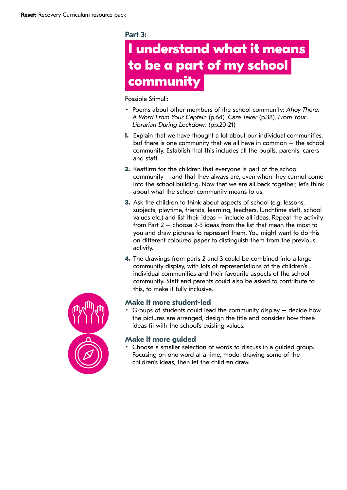#### **Part 3:**

## **I understand what it means to be a part of my school community**

Possible Stimuli:

- Poems about other members of the school community: *Ahoy There, A Word From Your Captain* (p.64), *Care Taker* (p.38), *From Your Librarian During Lockdown* (pp.20-21)
- **1.** Explain that we have thought a lot about our individual communities, but there is one community that we all have in common – the school community. Establish that this includes all the pupils, parents, carers and staff.
- **2.** Reaffirm for the children that everyone is part of the school community – and that they always are, even when they cannot come into the school building. Now that we are all back together, let's think about what the school community means to us.
- **3.** Ask the children to think about aspects of school (e.g. lessons, subjects, playtime, friends, learning, teachers, lunchtime staff, school values etc.) and list their ideas – include all ideas. Repeat the activity from Part 2 – choose 2-3 ideas from the list that mean the most to you and draw pictures to represent them. You might want to do this on different coloured paper to distinguish them from the previous activity.
- **4.** The drawings from parts 2 and 3 could be combined into a large community display, with lots of representations of the children's individual communities and their favourite aspects of the school community. Staff and parents could also be asked to contribute to this, to make it fully inclusive.



#### **Make it more student-led**

• Groups of students could lead the community display – decide how the pictures are arranged, design the title and consider how these ideas fit with the school's existing values.

#### **Make it more guided**

• Choose a smaller selection of words to discuss in a guided group. Focusing on one word at a time, model drawing some of the children's ideas, then let the children draw.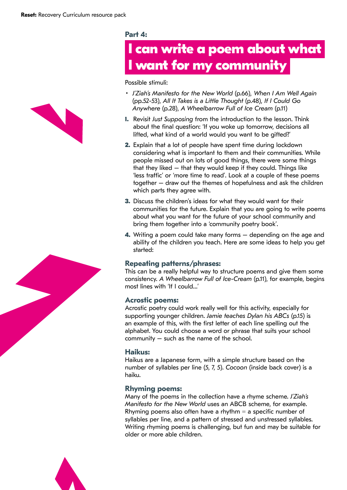

## **I can write a poem about what I want for my community**

Possible stimuli:

- *J'Ziah's Manifesto for the New World* (p.66), *When I Am Well Again*  (pp.52-53), *All It Takes is a Little Thought* (p.48), *If I Could Go Anywhere* (p.28), *A Wheelbarrow Full of Ice Cream* (p.11)
- **1.** Revisit *Just Supposing* from the introduction to the lesson. Think about the final question: 'If you woke up tomorrow, decisions all lifted, what kind of a world would you want to be gifted?'
- **2.** Explain that a lot of people have spent time during lockdown considering what is important to them and their communities. While people missed out on lots of good things, there were some things that they liked – that they would keep if they could. Things like 'less traffic' or 'more time to read'. Look at a couple of these poems together – draw out the themes of hopefulness and ask the children which parts they agree with.
- **3.** Discuss the children's ideas for what they would want for their communities for the future. Explain that you are going to write poems about what you want for the future of your school community and bring them together into a 'community poetry book'.
- **4.** Writing a poem could take many forms depending on the age and ability of the children you teach. Here are some ideas to help you get started:

#### **Repeating patterns/phrases:**

This can be a really helpful way to structure poems and give them some consistency. *A Wheelbarrow Full of Ice-Cream* (p.11), for example, begins most lines with 'If I could…'

#### **Acrostic poems:**

Acrostic poetry could work really well for this activity, especially for supporting younger children. *Jamie teaches Dylan his ABCs* (p.15) is an example of this, with the first letter of each line spelling out the alphabet. You could choose a word or phrase that suits your school community – such as the name of the school.

#### **Haikus:**

Haikus are a Japanese form, with a simple structure based on the number of syllables per line (5, 7, 5). *Cocoon* (inside back cover) is a haiku.

#### **Rhyming poems:**

Many of the poems in the collection have a rhyme scheme. *J'Ziah's Manifesto for the New World* uses an ABCB scheme, for example. Rhyming poems also often have a rhythm  $=$  a specific number of syllables per line, and a pattern of stressed and unstressed syllables. Writing rhyming poems is challenging, but fun and may be suitable for older or more able children.





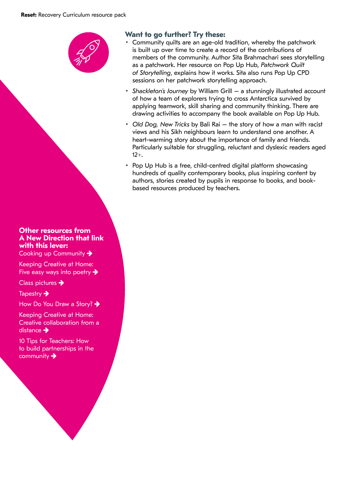

#### **Other resources from A New Direction that link with this lever:**

[Cooking up Community](https://www.anewdirection.org.uk/asset/4179/view)  $\rightarrow$ 

[Keeping Creative at Home:](https://www.anewdirection.org.uk/blog/keeping-creative-at-home-five-easy-ways-into-poetry)  [Five easy ways into poetry](https://www.anewdirection.org.uk/blog/keeping-creative-at-home-five-easy-ways-into-poetry)  $\rightarrow$ 

[Class pictures](https://www.anewdirection.org.uk/asset/4187/view)  $\rightarrow$ 

[Tapestry](https://www.anewdirection.org.uk/asset/4181/view)  $\rightarrow$ 

[How Do You Draw a Story?](https://www.anewdirection.org.uk/asset/4197/view) →

[Keeping Creative at Home:](https://www.anewdirection.org.uk/blog/keeping-creative-at-home-creative-collaboration-from-a-distance)  [Creative collaboration from a](https://www.anewdirection.org.uk/blog/keeping-creative-at-home-creative-collaboration-from-a-distance)  [distance](https://www.anewdirection.org.uk/blog/keeping-creative-at-home-creative-collaboration-from-a-distance)  $\rightarrow$ 

[10 Tips for Teachers: How](https://www.anewdirection.org.uk/blog/10-tips-for-teachers-how-to-build-partnerships-in-the-community)  [to build partnerships in the](https://www.anewdirection.org.uk/blog/10-tips-for-teachers-how-to-build-partnerships-in-the-community)  [community](https://www.anewdirection.org.uk/blog/10-tips-for-teachers-how-to-build-partnerships-in-the-community)  $\rightarrow$ 

#### **Want to go further? Try these:**

- Community quilts are an age-old tradition, whereby the patchwork is built up over time to create a record of the contributions of members of the community. Author Sita Brahmachari sees storytelling as a patchwork. Her resource on Pop Up Hub, *Patchwork Quilt of Storytelling*, explains how it works. Sita also runs Pop Up CPD sessions on her patchwork storytelling approach.
- *Shackleton's Journey* by William Grill a stunningly illustrated account of how a team of explorers trying to cross Antarctica survived by applying teamwork, skill sharing and community thinking. There are drawing activities to accompany the book available on Pop Up Hub.
- *Old Dog, New Tricks* by Bali Rai the story of how a man with racist views and his Sikh neighbours learn to understand one another. A heart-warming story about the importance of family and friends. Particularly suitable for struggling, reluctant and dyslexic readers aged 12+.
- Pop Up Hub is a free, child-centred digital platform showcasing hundreds of quality contemporary books, plus inspiring content by authors, stories created by pupils in response to books, and bookbased resources produced by teachers.